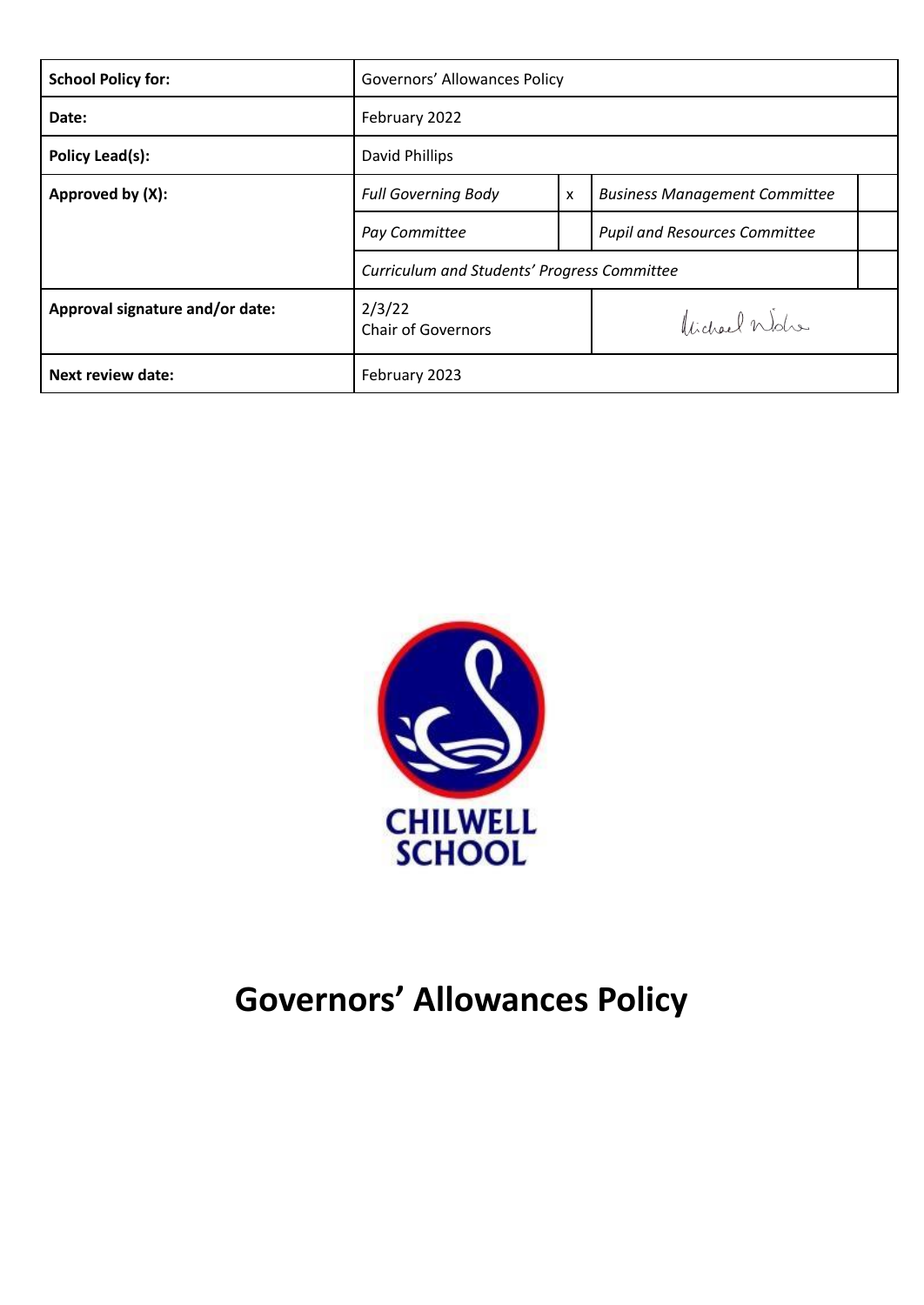| <b>School Policy for:</b>       | Governors' Allowances Policy                |                           |                                      |  |
|---------------------------------|---------------------------------------------|---------------------------|--------------------------------------|--|
| Date:                           | February 2022                               |                           |                                      |  |
| Policy Lead(s):                 | David Phillips                              |                           |                                      |  |
| Approved by (X):                | <b>Full Governing Body</b>                  | $\boldsymbol{\mathsf{x}}$ | <b>Business Management Committee</b> |  |
|                                 | Pay Committee                               |                           | <b>Pupil and Resources Committee</b> |  |
|                                 | Curriculum and Students' Progress Committee |                           |                                      |  |
| Approval signature and/or date: | 2/3/22<br><b>Chair of Governors</b>         |                           | Videol Wolfe                         |  |
| <b>Next review date:</b>        | February 2023                               |                           |                                      |  |



# **Governors' Allowances Policy**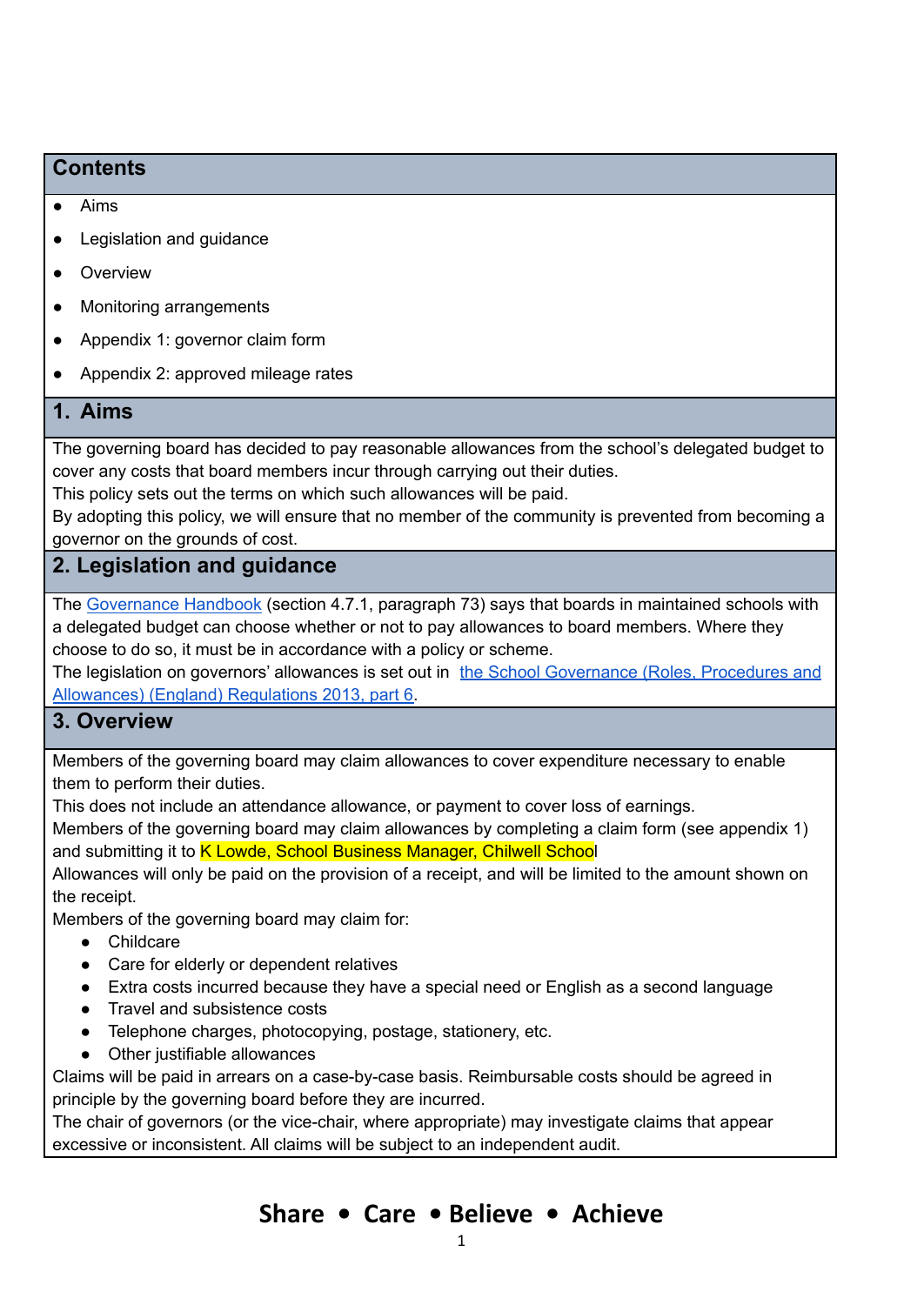#### **Contents**

#### ● Aims

- Legislation and guidance
- Overview
- Monitoring arrangements
- Appendix 1: governor claim form
- Appendix 2: approved mileage rates

#### **1. Aims**

The governing board has decided to pay reasonable allowances from the school's delegated budget to cover any costs that board members incur through carrying out their duties.

This policy sets out the terms on which such allowances will be paid.

By adopting this policy, we will ensure that no member of the community is prevented from becoming a governor on the grounds of cost.

#### **2. Legislation and guidance**

The [Governance](https://www.gov.uk/government/publications/governance-handbook) Handbook (section 4.7.1, paragraph 73) says that boards in maintained schools with a delegated budget can choose whether or not to pay allowances to board members. Where they choose to do so, it must be in accordance with a policy or scheme.

The legislation on governors' allowances is set out in the School [Governance](http://www.legislation.gov.uk/uksi/2013/1624/part/6/made) (Roles, Procedures and [Allowances\)](http://www.legislation.gov.uk/uksi/2013/1624/part/6/made) (England) Regulations 2013, part 6.

#### **3. Overview**

Members of the governing board may claim allowances to cover expenditure necessary to enable them to perform their duties.

This does not include an attendance allowance, or payment to cover loss of earnings.

Members of the governing board may claim allowances by completing a claim form (see appendix 1) and submitting it to K Lowde, School Business Manager, Chilwell School

Allowances will only be paid on the provision of a receipt, and will be limited to the amount shown on the receipt.

Members of the governing board may claim for:

- Childcare
- Care for elderly or dependent relatives
- Extra costs incurred because they have a special need or English as a second language
- Travel and subsistence costs
- Telephone charges, photocopying, postage, stationery, etc.
- Other justifiable allowances

Claims will be paid in arrears on a case-by-case basis. Reimbursable costs should be agreed in principle by the governing board before they are incurred.

The chair of governors (or the vice-chair, where appropriate) may investigate claims that appear excessive or inconsistent. All claims will be subject to an independent audit.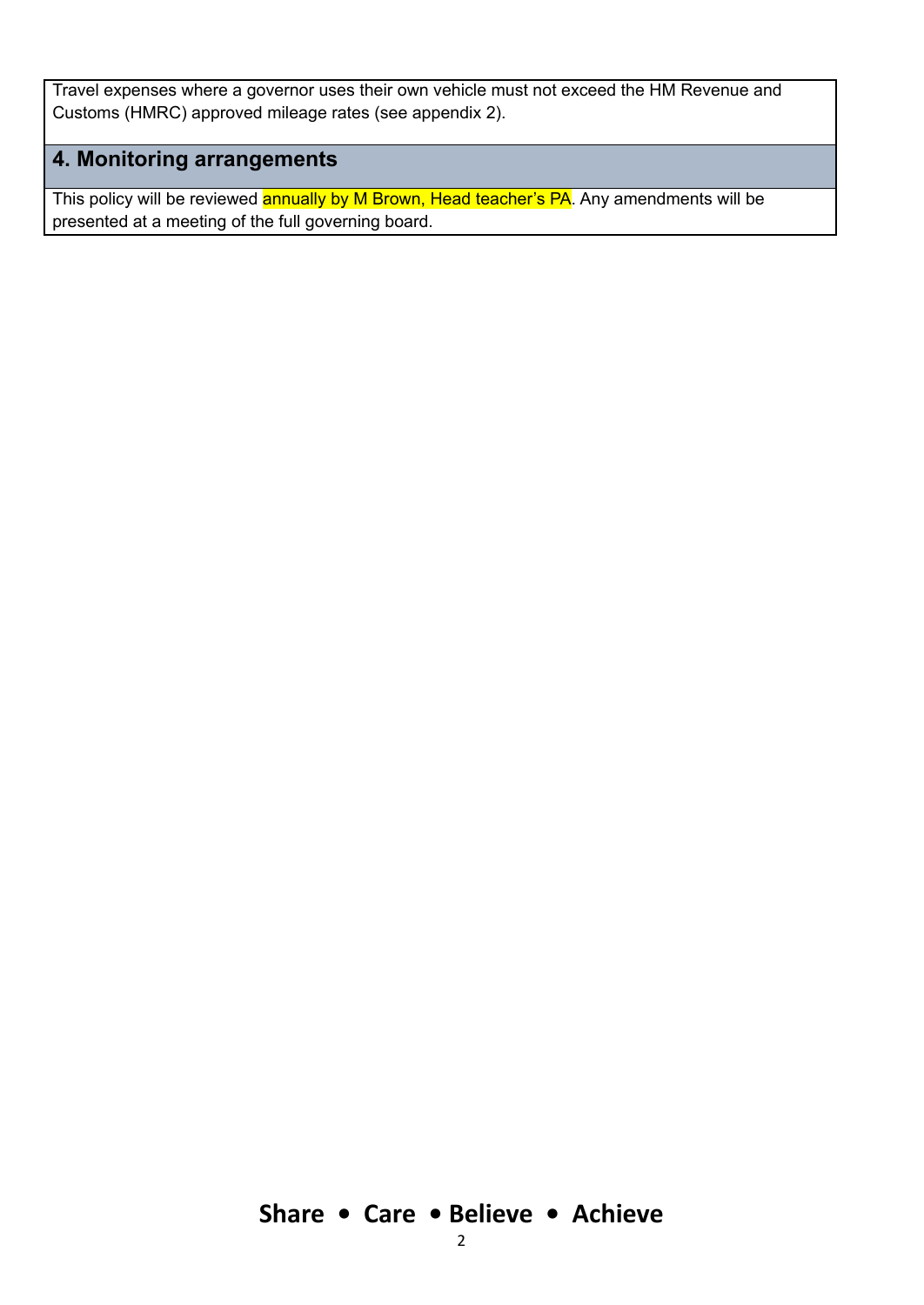Travel expenses where a governor uses their own vehicle must not exceed the HM Revenue and Customs (HMRC) approved mileage rates (see appendix 2).

### **4. Monitoring arrangements**

This policy will be reviewed annually by M Brown, Head teacher's PA. Any amendments will be presented at a meeting of the full governing board.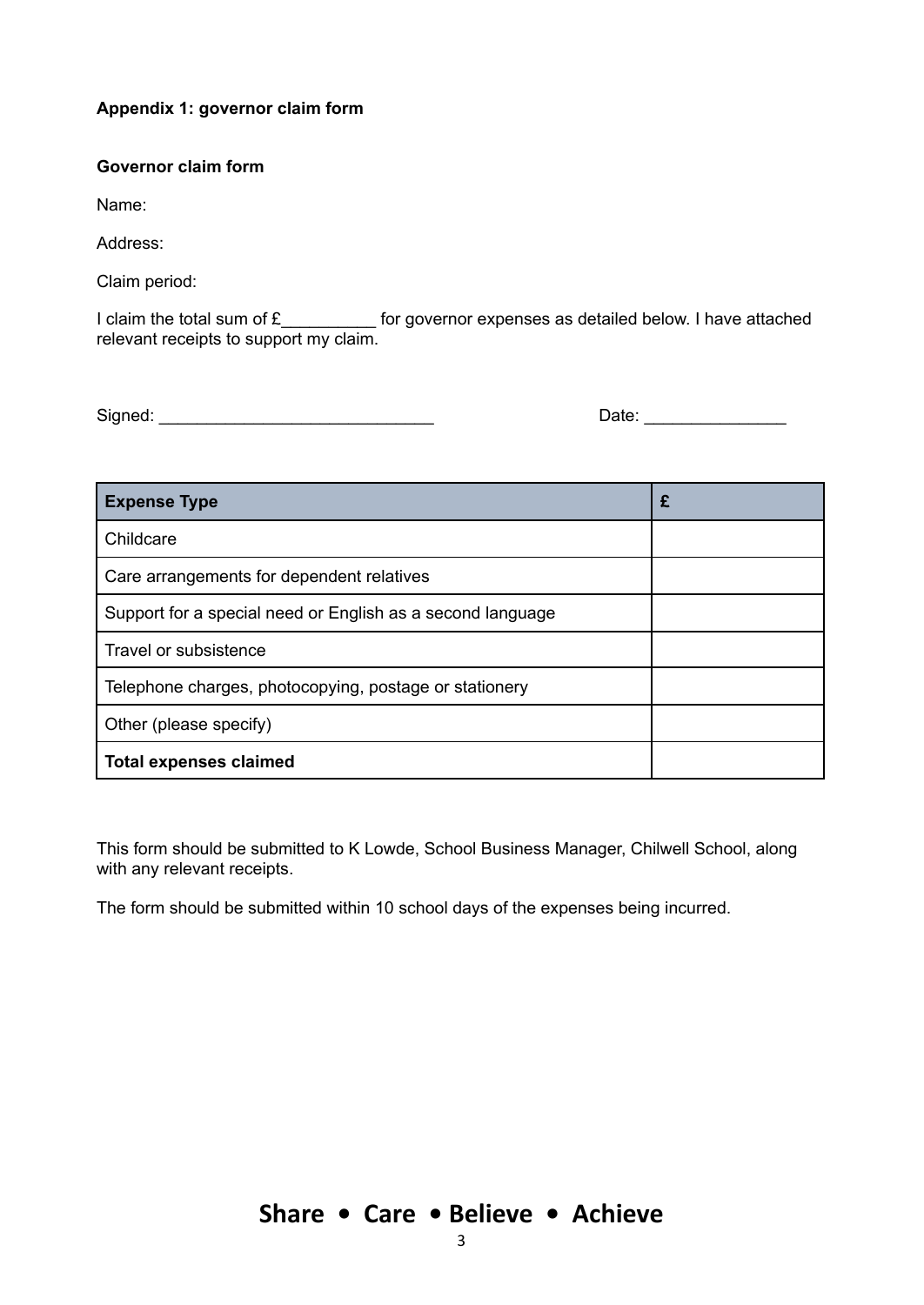#### **Appendix 1: governor claim form**

#### **Governor claim form**

Name:

Address:

Claim period:

I claim the total sum of £\_\_\_\_\_\_\_\_\_\_\_\_ for governor expenses as detailed below. I have attached relevant receipts to support my claim.

Signed: \_\_\_\_\_\_\_\_\_\_\_\_\_\_\_\_\_\_\_\_\_\_\_\_\_\_\_\_\_ Date: \_\_\_\_\_\_\_\_\_\_\_\_\_\_\_

| <b>Expense Type</b>                                        | £ |
|------------------------------------------------------------|---|
| Childcare                                                  |   |
| Care arrangements for dependent relatives                  |   |
| Support for a special need or English as a second language |   |
| Travel or subsistence                                      |   |
| Telephone charges, photocopying, postage or stationery     |   |
| Other (please specify)                                     |   |
| <b>Total expenses claimed</b>                              |   |

This form should be submitted to K Lowde, School Business Manager, Chilwell School, along with any relevant receipts.

The form should be submitted within 10 school days of the expenses being incurred.